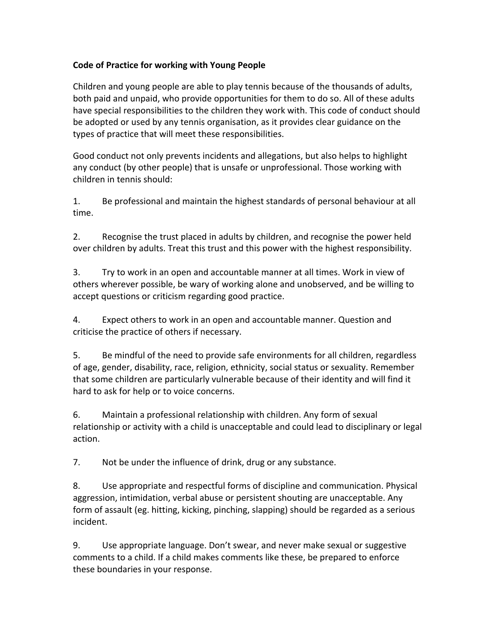## **Code of Practice for working with Young People**

Children and young people are able to play tennis because of the thousands of adults, both paid and unpaid, who provide opportunities for them to do so. All of these adults have special responsibilities to the children they work with. This code of conduct should be adopted or used by any tennis organisation, as it provides clear guidance on the types of practice that will meet these responsibilities.

Good conduct not only prevents incidents and allegations, but also helps to highlight any conduct (by other people) that is unsafe or unprofessional. Those working with children in tennis should:

1. Be professional and maintain the highest standards of personal behaviour at all time.

2. Recognise the trust placed in adults by children, and recognise the power held over children by adults. Treat this trust and this power with the highest responsibility.

3. Try to work in an open and accountable manner at all times. Work in view of others wherever possible, be wary of working alone and unobserved, and be willing to accept questions or criticism regarding good practice.

4. Expect others to work in an open and accountable manner. Question and criticise the practice of others if necessary.

5. Be mindful of the need to provide safe environments for all children, regardless of age, gender, disability, race, religion, ethnicity, social status or sexuality. Remember that some children are particularly vulnerable because of their identity and will find it hard to ask for help or to voice concerns.

6. Maintain a professional relationship with children. Any form of sexual relationship or activity with a child is unacceptable and could lead to disciplinary or legal action. 

7. Not be under the influence of drink, drug or any substance.

8. Use appropriate and respectful forms of discipline and communication. Physical aggression, intimidation, verbal abuse or persistent shouting are unacceptable. Any form of assault (eg. hitting, kicking, pinching, slapping) should be regarded as a serious incident. 

9. Use appropriate language. Don't swear, and never make sexual or suggestive comments to a child. If a child makes comments like these, be prepared to enforce these boundaries in your response.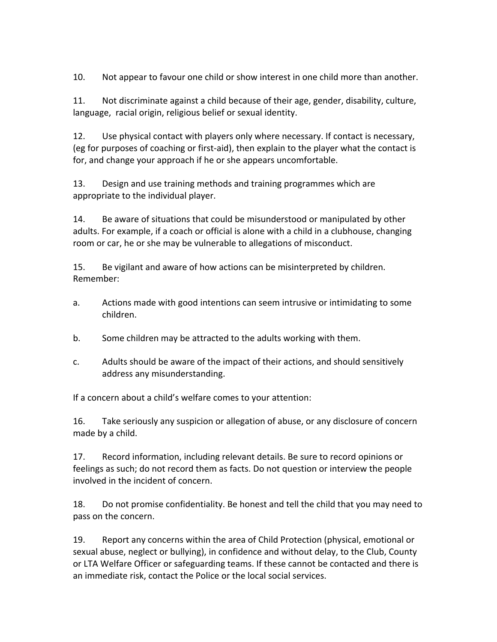10. Not appear to favour one child or show interest in one child more than another.

11. Not discriminate against a child because of their age, gender, disability, culture, language, racial origin, religious belief or sexual identity.

12. Use physical contact with players only where necessary. If contact is necessary, (eg for purposes of coaching or first-aid), then explain to the player what the contact is for, and change your approach if he or she appears uncomfortable.

13. Design and use training methods and training programmes which are appropriate to the individual player.

14. Be aware of situations that could be misunderstood or manipulated by other adults. For example, if a coach or official is alone with a child in a clubhouse, changing room or car, he or she may be vulnerable to allegations of misconduct.

15. Be vigilant and aware of how actions can be misinterpreted by children. Remember:

- a. Actions made with good intentions can seem intrusive or intimidating to some children.
- b. Some children may be attracted to the adults working with them.
- c. Adults should be aware of the impact of their actions, and should sensitively address any misunderstanding.

If a concern about a child's welfare comes to your attention:

16. Take seriously any suspicion or allegation of abuse, or any disclosure of concern made by a child.

17. Record information, including relevant details. Be sure to record opinions or feelings as such; do not record them as facts. Do not question or interview the people involved in the incident of concern.

18. Do not promise confidentiality. Be honest and tell the child that you may need to pass on the concern.

19. Report any concerns within the area of Child Protection (physical, emotional or sexual abuse, neglect or bullying), in confidence and without delay, to the Club, County or LTA Welfare Officer or safeguarding teams. If these cannot be contacted and there is an immediate risk, contact the Police or the local social services.